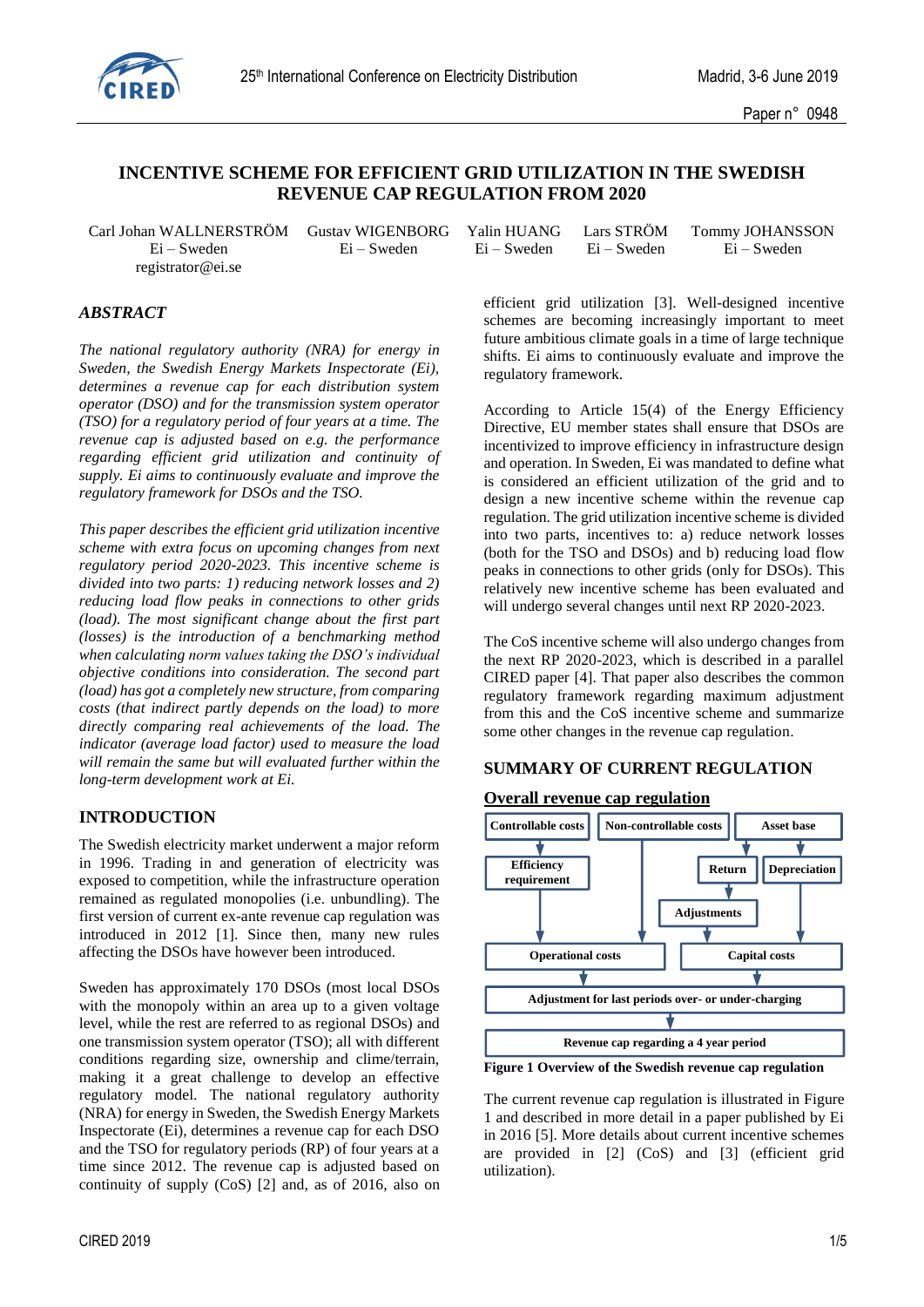

# **INCENTIVE SCHEME FOR EFFICIENT GRID UTILIZATION IN THE SWEDISH REVENUE CAP REGULATION FROM 2020**

Carl Johan WALLNERSTRÖM Gustav WIGENBORG registrator@ei.se

# *ABSTRACT*

*The national regulatory authority (NRA) for energy in Sweden, the Swedish Energy Markets Inspectorate (Ei), determines a revenue cap for each distribution system operator (DSO) and for the transmission system operator (TSO) for a regulatory period of four years at a time. The revenue cap is adjusted based on e.g. the performance regarding efficient grid utilization and continuity of supply. Ei aims to continuously evaluate and improve the regulatory framework for DSOs and the TSO.*

*This paper describes the efficient grid utilization incentive scheme with extra focus on upcoming changes from next regulatory period 2020-2023. This incentive scheme is divided into two parts: 1) reducing network losses and 2) reducing load flow peaks in connections to other grids (load). The most significant change about the first part (losses) is the introduction of a benchmarking method when calculating norm values taking the DSO's individual objective conditions into consideration. The second part (load) has got a completely new structure, from comparing costs (that indirect partly depends on the load) to more directly comparing real achievements of the load. The indicator (average load factor) used to measure the load will remain the same but will evaluated further within the long-term development work at Ei.*

# **INTRODUCTION**

The Swedish electricity market underwent a major reform in 1996. Trading in and generation of electricity was exposed to competition, while the infrastructure operation remained as regulated monopolies (i.e. unbundling). The first version of current ex-ante revenue cap regulation was introduced in 2012 [\[1\].](#page-4-0) Since then, many new rules affecting the DSOs have however been introduced.

Sweden has approximately 170 DSOs (most local DSOs with the monopoly within an area up to a given voltage level, while the rest are referred to as regional DSOs) and one transmission system operator (TSO); all with different conditions regarding size, ownership and clime/terrain, making it a great challenge to develop an effective regulatory model. The national regulatory authority (NRA) for energy in Sweden, the Swedish Energy Markets Inspectorate (Ei), determines a revenue cap for each DSO and the TSO for regulatory periods (RP) of four years at a time since 2012. The revenue cap is adjusted based on continuity of supply (CoS) [\[2\]](#page-4-1) and, as of 2016, also on

|             | n WALLNERSTRÖM Gustav WIGENBORG Yalin HUANG Lars STRÖM Tommy JOHANSSON |                         |             |
|-------------|------------------------------------------------------------------------|-------------------------|-------------|
| Ei – Sweden | Ei – Sweden                                                            | Ei – Sweden Ei – Sweden | Ei – Sweden |

efficient grid utilization [\[3\].](#page-4-2) Well-designed incentive schemes are becoming increasingly important to meet future ambitious climate goals in a time of large technique shifts. Ei aims to continuously evaluate and improve the regulatory framework.

According to Article 15(4) of the Energy Efficiency Directive, EU member states shall ensure that DSOs are incentivized to improve efficiency in infrastructure design and operation. In Sweden, Ei was mandated to define what is considered an efficient utilization of the grid and to design a new incentive scheme within the revenue cap regulation. The grid utilization incentive scheme is divided into two parts, incentives to: a) reduce network losses (both for the TSO and DSOs) and b) reducing load flow peaks in connections to other grids (only for DSOs). This relatively new incentive scheme has been evaluated and will undergo several changes until next RP 2020-2023.

The CoS incentive scheme will also undergo changes from the next RP 2020-2023, which is described in a parallel CIRED paper [\[4\].](#page-4-3) That paper also describes the common regulatory framework regarding maximum adjustment from this and the CoS incentive scheme and summarize some other changes in the revenue cap regulation.

# **SUMMARY OF CURRENT REGULATION**

## **Overall revenue cap regulation**



<span id="page-0-0"></span>**Figure 1 Overview of the Swedish revenue cap regulation**

The current revenue cap regulation is illustrated in [Figure](#page-0-0)  [1](#page-0-0) and described in more detail in a paper published by Ei in 2016 [\[5\].](#page-4-4) More details about current incentive schemes are provided in [\[2\]](#page-4-1) (CoS) and [\[3\]](#page-4-2) (efficient grid utilization).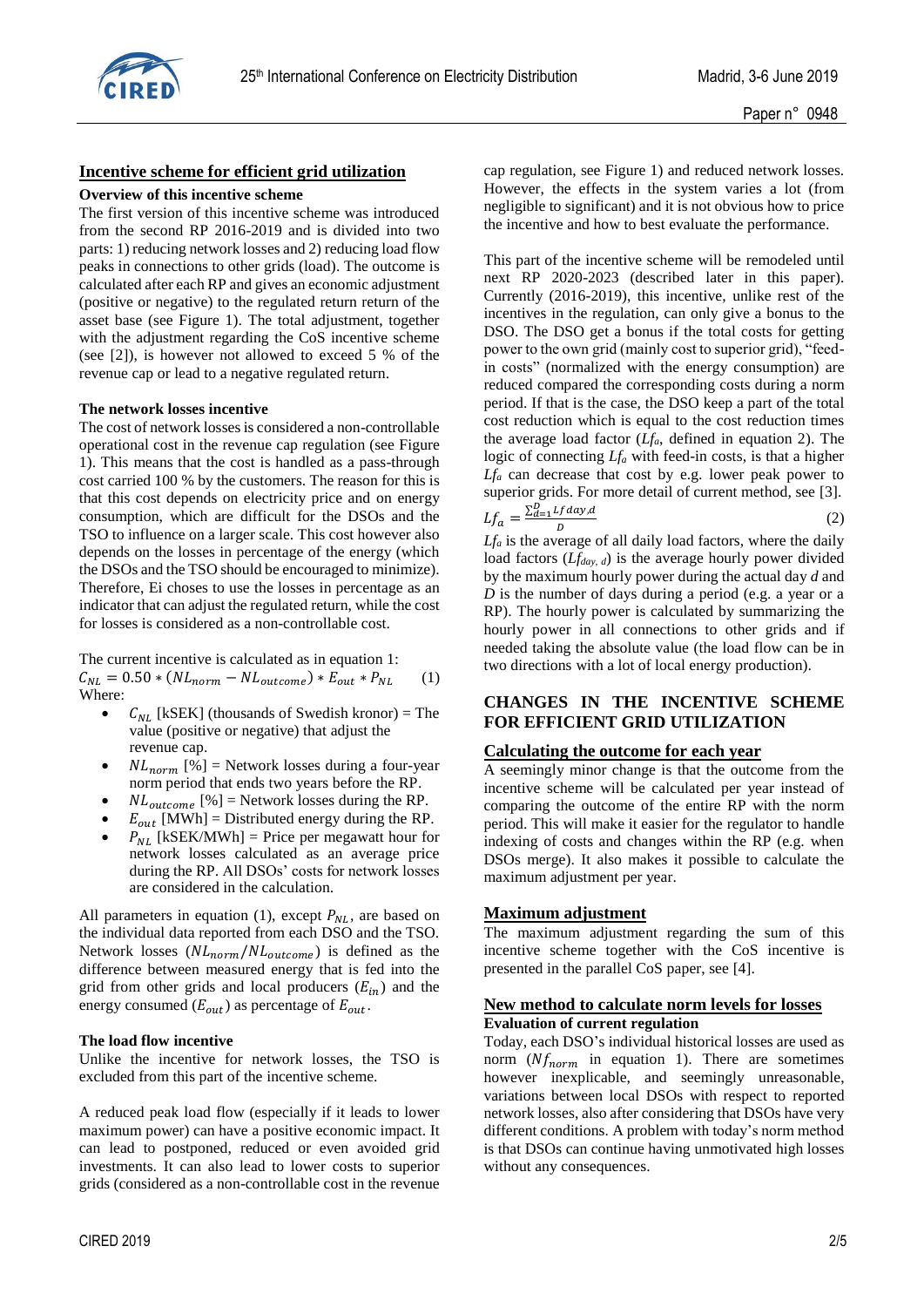

# **Incentive scheme for efficient grid utilization**

#### **Overview of this incentive scheme**

The first version of this incentive scheme was introduced from the second RP 2016-2019 and is divided into two parts: 1) reducing network losses and 2) reducing load flow peaks in connections to other grids (load). The outcome is calculated after each RP and gives an economic adjustment (positive or negative) to the regulated return return of the asset base (see [Figure 1\)](#page-0-0). The total adjustment, together with the adjustment regarding the CoS incentive scheme (see [\[2\]\)](#page-4-1), is however not allowed to exceed 5 % of the revenue cap or lead to a negative regulated return.

#### **The network losses incentive**

The cost of network losses is considered a non-controllable operational cost in the revenue cap regulation (see [Figure](#page-0-0)  [1\)](#page-0-0). This means that the cost is handled as a pass-through cost carried 100 % by the customers. The reason for this is that this cost depends on electricity price and on energy consumption, which are difficult for the DSOs and the TSO to influence on a larger scale. This cost however also depends on the losses in percentage of the energy (which the DSOs and the TSO should be encouraged to minimize). Therefore, Ei choses to use the losses in percentage as an indicator that can adjust the regulated return, while the cost for losses is considered as a non-controllable cost.

The current incentive is calculated as in equation 1:  $C_{NL} = 0.50 * (NL_{norm} - NL_{outcome}) * E_{out} * P_{NL}$  (1) Where:

- $C_{NL}$  [kSEK] (thousands of Swedish kronor) = The value (positive or negative) that adjust the revenue cap.
- $NL_{norm}$  [%] = Network losses during a four-year norm period that ends two years before the RP.
- $NL_{outcome}$  [%] = Network losses during the RP.
- $E_{out}$  [MWh] = Distributed energy during the RP.
- $P_{NL}$  [kSEK/MWh] = Price per megawatt hour for network losses calculated as an average price during the RP. All DSOs' costs for network losses are considered in the calculation.

All parameters in equation (1), except  $P_{NL}$ , are based on the individual data reported from each DSO and the TSO. Network losses  $(NL_{norm}/NL_{outcome})$  is defined as the difference between measured energy that is fed into the grid from other grids and local producers  $(E_{in})$  and the energy consumed  $(E_{out})$  as percentage of  $E_{out}$ .

#### **The load flow incentive**

Unlike the incentive for network losses, the TSO is excluded from this part of the incentive scheme.

A reduced peak load flow (especially if it leads to lower maximum power) can have a positive economic impact. It can lead to postponed, reduced or even avoided grid investments. It can also lead to lower costs to superior grids (considered as a non-controllable cost in the revenue

cap regulation, see [Figure 1\)](#page-0-0) and reduced network losses. However, the effects in the system varies a lot (from negligible to significant) and it is not obvious how to price the incentive and how to best evaluate the performance.

This part of the incentive scheme will be remodeled until next RP 2020-2023 (described later in this paper). Currently (2016-2019), this incentive, unlike rest of the incentives in the regulation, can only give a bonus to the DSO. The DSO get a bonus if the total costs for getting power to the own grid (mainly cost to superior grid), "feedin costs" (normalized with the energy consumption) are reduced compared the corresponding costs during a norm period. If that is the case, the DSO keep a part of the total cost reduction which is equal to the cost reduction times the average load factor (*Lfa*, defined in equation 2). The logic of connecting *Lf<sup>a</sup>* with feed-in costs, is that a higher *Lf<sup>a</sup>* can decrease that cost by e.g. lower peak power to superior grids. For more detail of current method, see [\[3\].](#page-4-2)  $\sum_{d=1}^D Lfday_d$ 

$$
Lf_a = \frac{2d-1}{D} \frac{L}{d} \tag{2}
$$

*Lf<sup>a</sup>* is the average of all daily load factors, where the daily load factors (*Lfday, d*) is the average hourly power divided by the maximum hourly power during the actual day *d* and *D* is the number of days during a period (e.g. a year or a RP). The hourly power is calculated by summarizing the hourly power in all connections to other grids and if needed taking the absolute value (the load flow can be in two directions with a lot of local energy production).

# **CHANGES IN THE INCENTIVE SCHEME FOR EFFICIENT GRID UTILIZATION**

#### **Calculating the outcome for each year**

A seemingly minor change is that the outcome from the incentive scheme will be calculated per year instead of comparing the outcome of the entire RP with the norm period. This will make it easier for the regulator to handle indexing of costs and changes within the RP (e.g. when DSOs merge). It also makes it possible to calculate the maximum adjustment per year.

#### **Maximum adjustment**

The maximum adjustment regarding the sum of this incentive scheme together with the CoS incentive is presented in the parallel CoS paper, see [\[4\].](#page-4-3)

#### **New method to calculate norm levels for losses Evaluation of current regulation**

Today, each DSO's individual historical losses are used as norm  $(Nf_{norm}$  in equation 1). There are sometimes however inexplicable, and seemingly unreasonable, variations between local DSOs with respect to reported network losses, also after considering that DSOs have very different conditions. A problem with today's norm method is that DSOs can continue having unmotivated high losses without any consequences.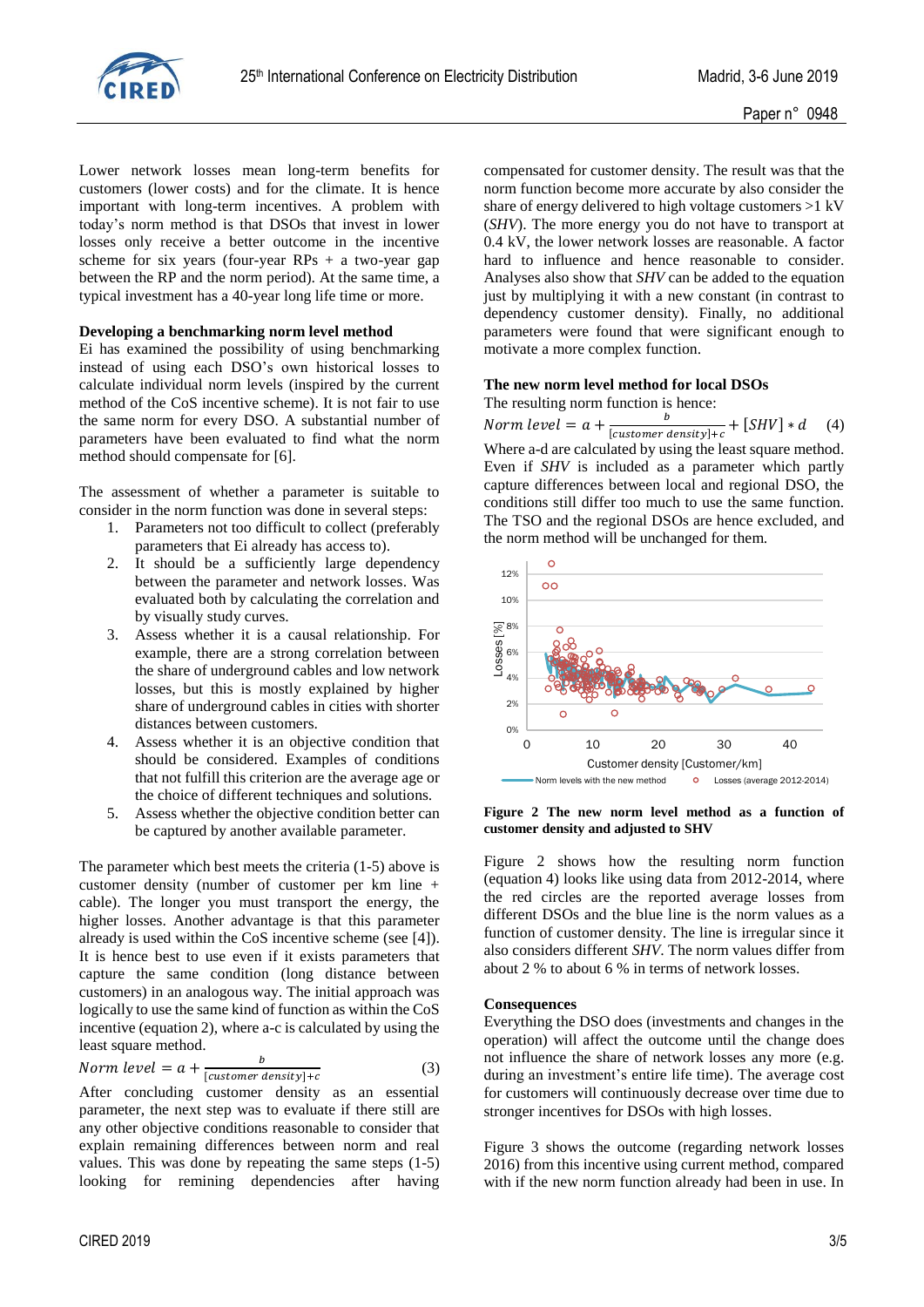

Lower network losses mean long-term benefits for customers (lower costs) and for the climate. It is hence important with long-term incentives. A problem with today's norm method is that DSOs that invest in lower losses only receive a better outcome in the incentive scheme for six years (four-year RPs  $+$  a two-year gap between the RP and the norm period). At the same time, a typical investment has a 40-year long life time or more.

## **Developing a benchmarking norm level method**

Ei has examined the possibility of using benchmarking instead of using each DSO's own historical losses to calculate individual norm levels (inspired by the current method of the CoS incentive scheme). It is not fair to use the same norm for every DSO. A substantial number of parameters have been evaluated to find what the norm method should compensate for [\[6\].](#page-4-5)

The assessment of whether a parameter is suitable to consider in the norm function was done in several steps:

- 1. Parameters not too difficult to collect (preferably parameters that Ei already has access to).
- 2. It should be a sufficiently large dependency between the parameter and network losses. Was evaluated both by calculating the correlation and by visually study curves.
- 3. Assess whether it is a causal relationship. For example, there are a strong correlation between the share of underground cables and low network losses, but this is mostly explained by higher share of underground cables in cities with shorter distances between customers.
- 4. Assess whether it is an objective condition that should be considered. Examples of conditions that not fulfill this criterion are the average age or the choice of different techniques and solutions.
- 5. Assess whether the objective condition better can be captured by another available parameter.

The parameter which best meets the criteria (1-5) above is customer density (number of customer per km line + cable). The longer you must transport the energy, the higher losses. Another advantage is that this parameter already is used within the CoS incentive scheme (see [\[4\]\)](#page-4-3). It is hence best to use even if it exists parameters that capture the same condition (long distance between customers) in an analogous way. The initial approach was logically to use the same kind of function as within the CoS incentive (equation 2), where a-c is calculated by using the least square method.

$$
Norm level = a + \frac{b}{[customer density]+c}
$$
 (3)

After concluding customer density as an essential parameter, the next step was to evaluate if there still are any other objective conditions reasonable to consider that explain remaining differences between norm and real values. This was done by repeating the same steps (1-5) looking for remining dependencies after having compensated for customer density. The result was that the norm function become more accurate by also consider the share of energy delivered to high voltage customers >1 kV (*SHV*). The more energy you do not have to transport at 0.4 kV, the lower network losses are reasonable. A factor hard to influence and hence reasonable to consider. Analyses also show that *SHV* can be added to the equation just by multiplying it with a new constant (in contrast to dependency customer density). Finally, no additional parameters were found that were significant enough to motivate a more complex function.

#### **The new norm level method for local DSOs**

The resulting norm function is hence:

Norm level =  $a + \frac{b}{\ln a + \ln b}$  $\frac{b}{[customer density]+c} + [SHV] * d$  (4) Where a-d are calculated by using the least square method.

Even if *SHV* is included as a parameter which partly capture differences between local and regional DSO, the conditions still differ too much to use the same function. The TSO and the regional DSOs are hence excluded, and the norm method will be unchanged for them.



<span id="page-2-0"></span>**Figure 2 The new norm level method as a function of customer density and adjusted to SHV**

[Figure 2](#page-2-0) shows how the resulting norm function (equation 4) looks like using data from 2012-2014, where the red circles are the reported average losses from different DSOs and the blue line is the norm values as a function of customer density. The line is irregular since it also considers different *SHV*. The norm values differ from about 2 % to about 6 % in terms of network losses.

## **Consequences**

Everything the DSO does (investments and changes in the operation) will affect the outcome until the change does not influence the share of network losses any more (e.g. during an investment's entire life time). The average cost for customers will continuously decrease over time due to stronger incentives for DSOs with high losses.

[Figure 3](#page-3-0) shows the outcome (regarding network losses 2016) from this incentive using current method, compared with if the new norm function already had been in use. In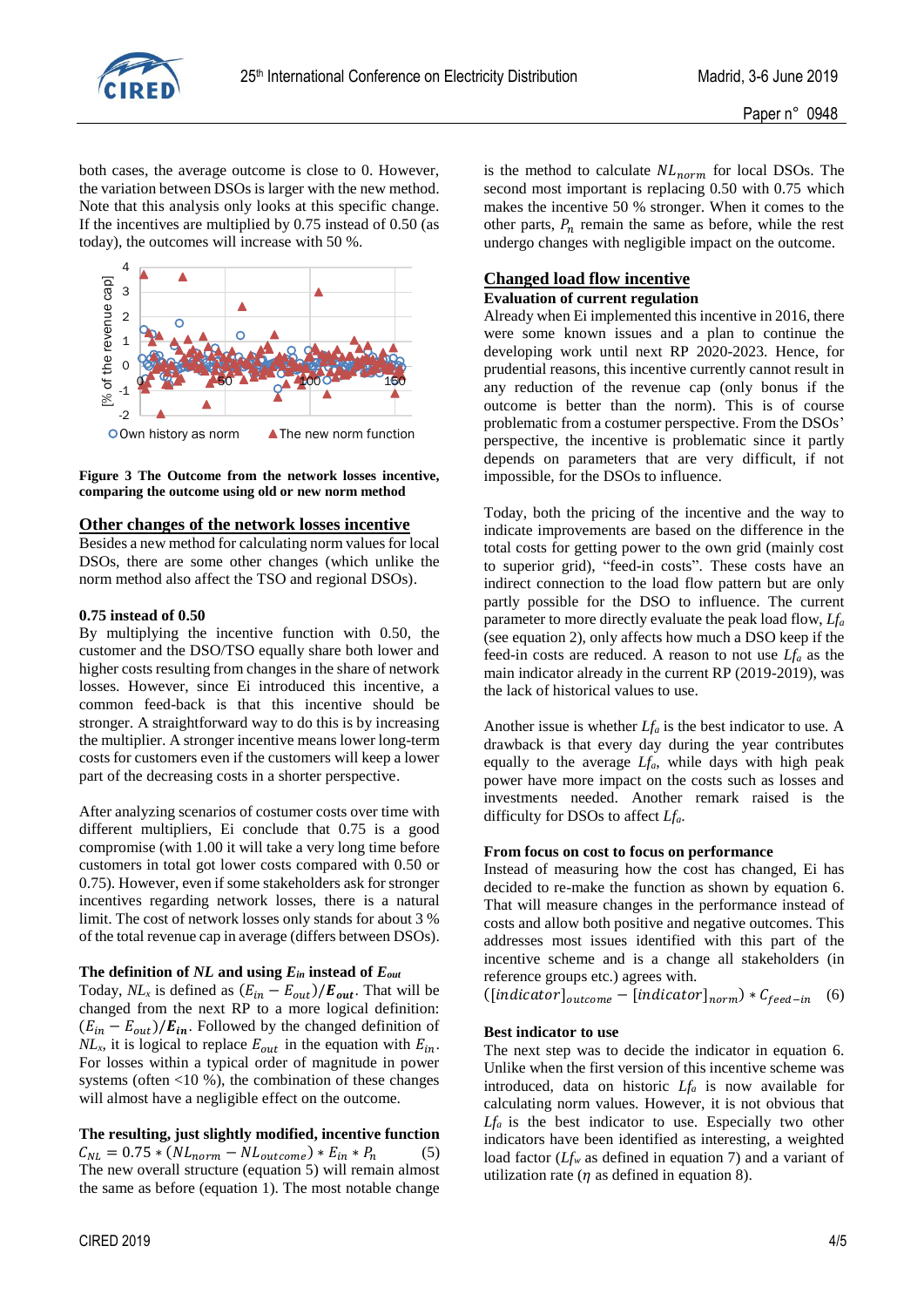

both cases, the average outcome is close to 0. However, the variation between DSOs is larger with the new method. Note that this analysis only looks at this specific change. If the incentives are multiplied by 0.75 instead of 0.50 (as today), the outcomes will increase with 50 %.



<span id="page-3-0"></span>**Figure 3 The Outcome from the network losses incentive, comparing the outcome using old or new norm method**

## **Other changes of the network losses incentive**

Besides a new method for calculating norm values for local DSOs, there are some other changes (which unlike the norm method also affect the TSO and regional DSOs).

## **0.75 instead of 0.50**

By multiplying the incentive function with 0.50, the customer and the DSO/TSO equally share both lower and higher costs resulting from changes in the share of network losses. However, since Ei introduced this incentive, a common feed-back is that this incentive should be stronger. A straightforward way to do this is by increasing the multiplier. A stronger incentive means lower long-term costs for customers even if the customers will keep a lower part of the decreasing costs in a shorter perspective.

After analyzing scenarios of costumer costs over time with different multipliers, Ei conclude that 0.75 is a good compromise (with 1.00 it will take a very long time before customers in total got lower costs compared with 0.50 or 0.75). However, even if some stakeholders ask for stronger incentives regarding network losses, there is a natural limit. The cost of network losses only stands for about 3 % of the total revenue cap in average (differs between DSOs).

# **The definition of** *NL* **and using** *Ein* **instead of** *Eout*

Today,  $NL_x$  is defined as  $(E_{in} - E_{out})/E_{out}$ . That will be changed from the next RP to a more logical definition:  $(E_{in} - E_{out})/E_{in}$ . Followed by the changed definition of  $NL_x$ , it is logical to replace  $E_{out}$  in the equation with  $E_{in}$ . For losses within a typical order of magnitude in power systems (often  $\langle 10, 9 \rangle$ ), the combination of these changes will almost have a negligible effect on the outcome.

**The resulting, just slightly modified, incentive function**  $C_{NL} = 0.75 * (NL_{norm} - NL_{outcome}) * E_{in} * P_n$  (5) The new overall structure (equation 5) will remain almost the same as before (equation 1). The most notable change

is the method to calculate  $NL_{norm}$  for local DSOs. The second most important is replacing 0.50 with 0.75 which makes the incentive 50 % stronger. When it comes to the other parts,  $P_n$  remain the same as before, while the rest undergo changes with negligible impact on the outcome.

# **Changed load flow incentive**

## **Evaluation of current regulation**

Already when Ei implemented this incentive in 2016, there were some known issues and a plan to continue the developing work until next RP 2020-2023. Hence, for prudential reasons, this incentive currently cannot result in any reduction of the revenue cap (only bonus if the outcome is better than the norm). This is of course problematic from a costumer perspective. From the DSOs' perspective, the incentive is problematic since it partly depends on parameters that are very difficult, if not impossible, for the DSOs to influence.

Today, both the pricing of the incentive and the way to indicate improvements are based on the difference in the total costs for getting power to the own grid (mainly cost to superior grid), "feed-in costs". These costs have an indirect connection to the load flow pattern but are only partly possible for the DSO to influence. The current parameter to more directly evaluate the peak load flow, *Lf<sup>a</sup>* (see equation 2), only affects how much a DSO keep if the feed-in costs are reduced. A reason to not use *Lf<sup>a</sup>* as the main indicator already in the current RP (2019-2019), was the lack of historical values to use.

Another issue is whether *Lf<sup>a</sup>* is the best indicator to use. A drawback is that every day during the year contributes equally to the average *Lfa*, while days with high peak power have more impact on the costs such as losses and investments needed. Another remark raised is the difficulty for DSOs to affect *Lfa*.

## **From focus on cost to focus on performance**

Instead of measuring how the cost has changed, Ei has decided to re-make the function as shown by equation 6. That will measure changes in the performance instead of costs and allow both positive and negative outcomes. This addresses most issues identified with this part of the incentive scheme and is a change all stakeholders (in reference groups etc.) agrees with.

 $([indicate or]_{outcome} - [indicate or]_{norm}) * C_{feed-in}$  (6)

## **Best indicator to use**

The next step was to decide the indicator in equation 6. Unlike when the first version of this incentive scheme was introduced, data on historic *Lf<sup>a</sup>* is now available for calculating norm values. However, it is not obvious that  $Lf_a$  is the best indicator to use. Especially two other indicators have been identified as interesting, a weighted load factor (*Lf<sup>w</sup>* as defined in equation 7) and a variant of utilization rate ( $\eta$  as defined in equation 8).